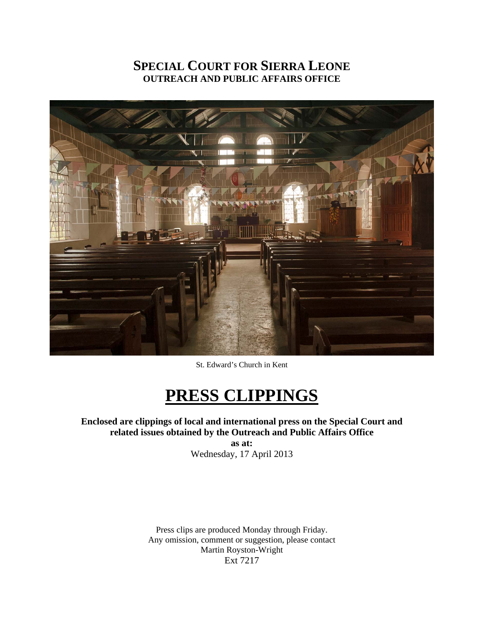# **SPECIAL COURT FOR SIERRA LEONE OUTREACH AND PUBLIC AFFAIRS OFFICE**



St. Edward's Church in Kent

# **PRESS CLIPPINGS**

### **Enclosed are clippings of local and international press on the Special Court and related issues obtained by the Outreach and Public Affairs Office**

**as at:**  Wednesday, 17 April 2013

Press clips are produced Monday through Friday. Any omission, comment or suggestion, please contact Martin Royston-Wright Ext 7217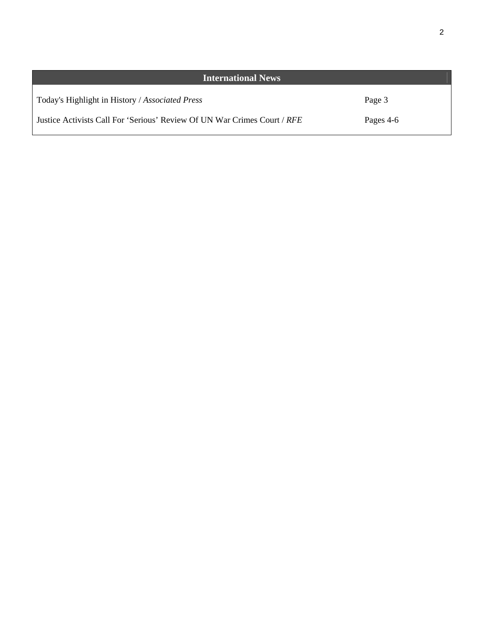| <b>International News</b>                                                |           |
|--------------------------------------------------------------------------|-----------|
| Today's Highlight in History / Associated Press                          | Page 3    |
| Justice Activists Call For 'Serious' Review Of UN War Crimes Court / RFE | Pages 4-6 |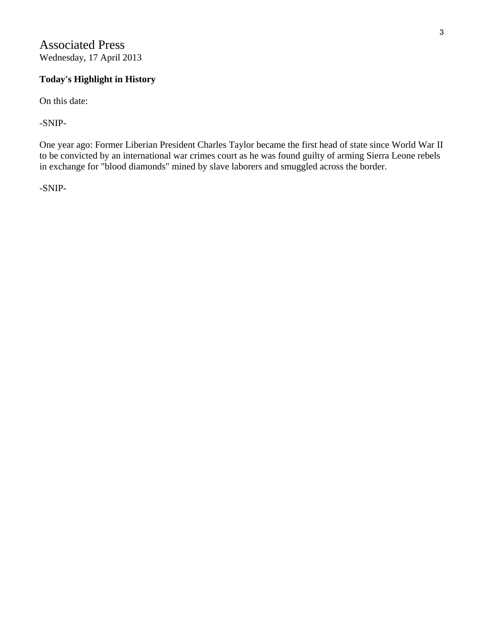## Associated Press Wednesday, 17 April 2013

### **Today's Highlight in History**

On this date:

-SNIP-

One year ago: Former Liberian President Charles Taylor became the first head of state since World War II to be convicted by an international war crimes court as he was found guilty of arming Sierra Leone rebels in exchange for "blood diamonds" mined by slave laborers and smuggled across the border.

-SNIP-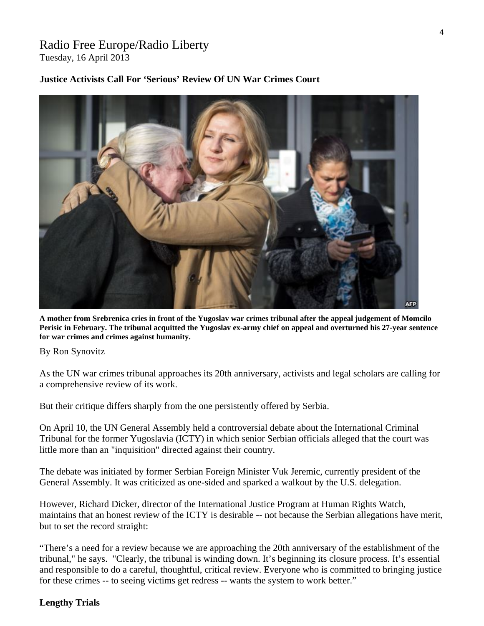# Radio Free Europe/Radio Liberty

Tuesday, 16 April 2013

#### **Justice Activists Call For 'Serious' Review Of UN War Crimes Court**



**A mother from Srebrenica cries in front of the Yugoslav war crimes tribunal after the appeal judgement of Momcilo Perisic in February. The tribunal acquitted the Yugoslav ex-army chief on appeal and overturned his 27-year sentence for war crimes and crimes against humanity.** 

By Ron Synovitz

As the UN war crimes tribunal approaches its 20th anniversary, activists and legal scholars are calling for a comprehensive review of its work.

But their critique differs sharply from the one persistently offered by Serbia.

On April 10, the UN General Assembly held a controversial debate about the International Criminal Tribunal for the former Yugoslavia (ICTY) in which senior Serbian officials alleged that the court was little more than an "inquisition" directed against their country.

The debate was initiated by former Serbian Foreign Minister Vuk Jeremic, currently president of the General Assembly. It was criticized as one-sided and sparked a walkout by the U.S. delegation.

However, Richard Dicker, director of the International Justice Program at Human Rights Watch, maintains that an honest review of the ICTY is desirable -- not because the Serbian allegations have merit, but to set the record straight:

"There's a need for a review because we are approaching the 20th anniversary of the establishment of the tribunal," he says. "Clearly, the tribunal is winding down. It's beginning its closure process. It's essential and responsible to do a careful, thoughtful, critical review. Everyone who is committed to bringing justice for these crimes -- to seeing victims get redress -- wants the system to work better."

#### **Lengthy Trials**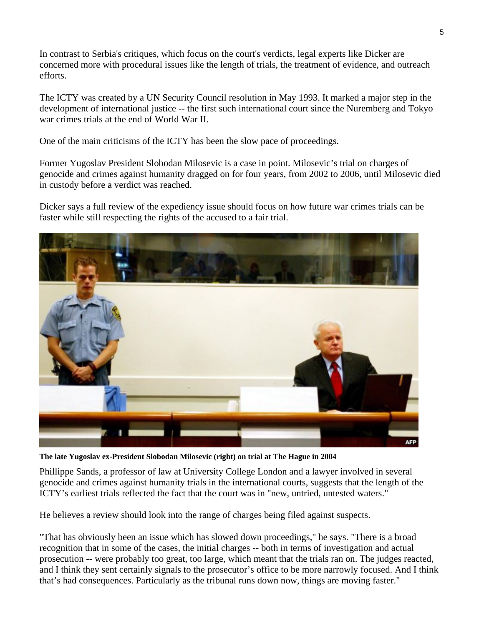In contrast to Serbia's critiques, which focus on the court's verdicts, legal experts like Dicker are concerned more with procedural issues like the length of trials, the treatment of evidence, and outreach efforts.

The ICTY was created by a UN Security Council resolution in May 1993. It marked a major step in the development of international justice -- the first such international court since the Nuremberg and Tokyo war crimes trials at the end of World War II.

One of the main criticisms of the ICTY has been the slow pace of proceedings.

Former Yugoslav President Slobodan Milosevic is a case in point. Milosevic's trial on charges of genocide and crimes against humanity dragged on for four years, from 2002 to 2006, until Milosevic died in custody before a verdict was reached.

Dicker says a full review of the expediency issue should focus on how future war crimes trials can be faster while still respecting the rights of the accused to a fair trial.



**The late Yugoslav ex-President Slobodan Milosevic (right) on trial at The Hague in 2004** 

Phillippe Sands, a professor of law at University College London and a lawyer involved in several genocide and crimes against humanity trials in the international courts, suggests that the length of the ICTY's earliest trials reflected the fact that the court was in "new, untried, untested waters."

He believes a review should look into the range of charges being filed against suspects.

"That has obviously been an issue which has slowed down proceedings," he says. "There is a broad recognition that in some of the cases, the initial charges -- both in terms of investigation and actual prosecution -- were probably too great, too large, which meant that the trials ran on. The judges reacted, and I think they sent certainly signals to the prosecutor's office to be more narrowly focused. And I think that's had consequences. Particularly as the tribunal runs down now, things are moving faster."